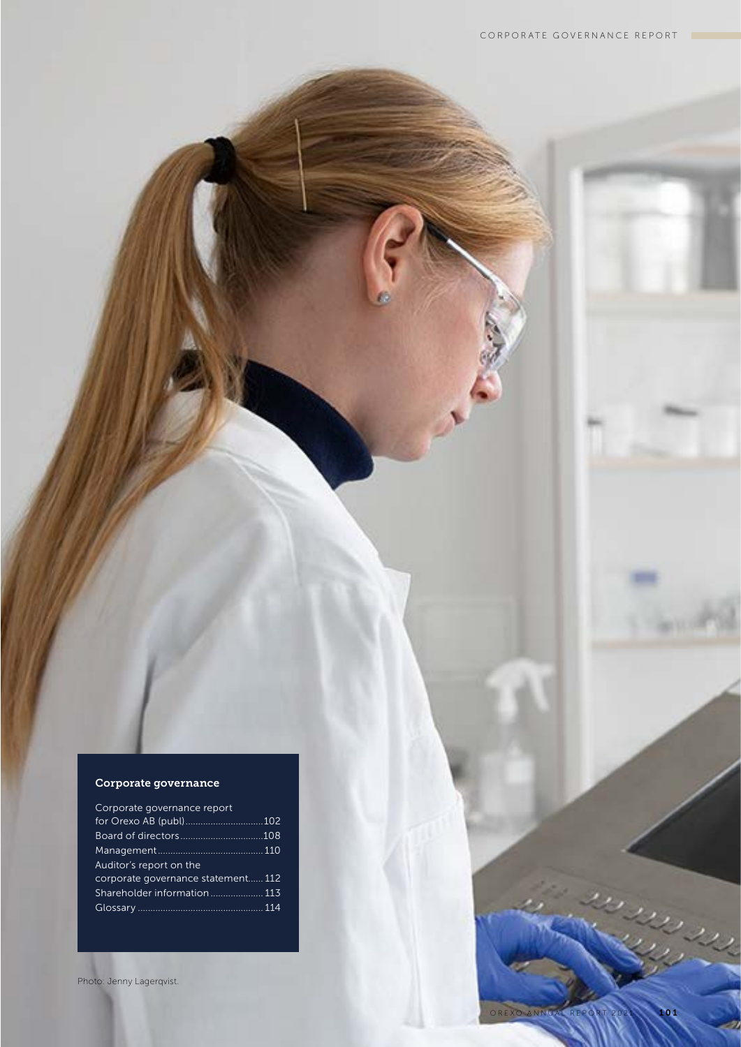## Corporate governance

| Corporate governance report        |  |
|------------------------------------|--|
| for Orexo AB (publ)102             |  |
|                                    |  |
|                                    |  |
| Auditor's report on the            |  |
| corporate governance statement 112 |  |
| Shareholder information 113        |  |
|                                    |  |
|                                    |  |

Photo: Jenny Lagerqvist.

in<br>Sili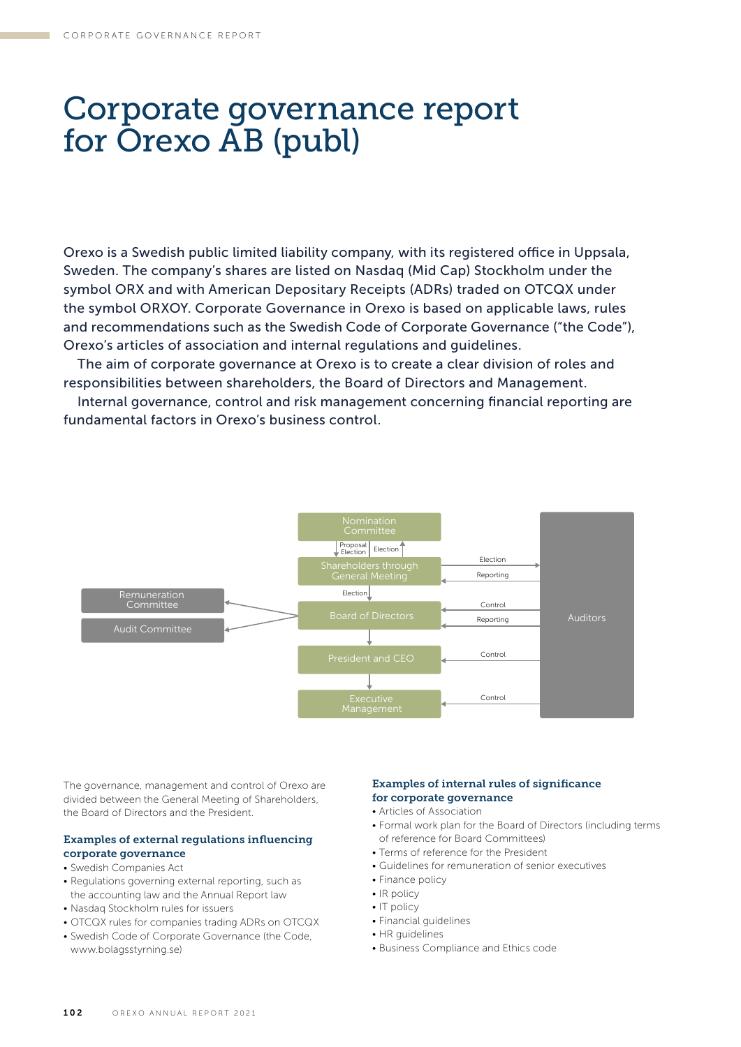## Corporate governance report for Orexo AB (publ)

Orexo is a Swedish public limited liability company, with its registered office in Uppsala, Sweden. The company's shares are listed on Nasdaq (Mid Cap) Stockholm under the symbol ORX and with American Depositary Receipts (ADRs) traded on OTCQX under the symbol ORXOY. Corporate Governance in Orexo is based on applicable laws, rules and recommendations such as the Swedish Code of Corporate Governance ("the Code"), Orexo's articles of association and internal regulations and guidelines.

The aim of corporate governance at Orexo is to create a clear division of roles and responsibilities between shareholders, the Board of Directors and Management.

Internal governance, control and risk management concerning financial reporting are fundamental factors in Orexo's business control.



The governance, management and control of Orexo are divided between the General Meeting of Shareholders, the Board of Directors and the President.

### Examples of external regulations influencing corporate governance

## • Swedish Companies Act

- Regulations governing external reporting, such as the accounting law and the Annual Report law
- Nasdaq Stockholm rules for issuers
- OTCQX rules for companies trading ADRs on OTCQX
- Swedish Code of Corporate Governance (the Code, www.bolagsstyrning.se)

## Examples of internal rules of significance for corporate governance

- Articles of Association
- Formal work plan for the Board of Directors (including terms of reference for Board Committees)
- Terms of reference for the President
- Guidelines for remuneration of senior executives
- Finance policy
- IR policy
- IT policy
- Financial guidelines
- HR guidelines
- Business Compliance and Ethics code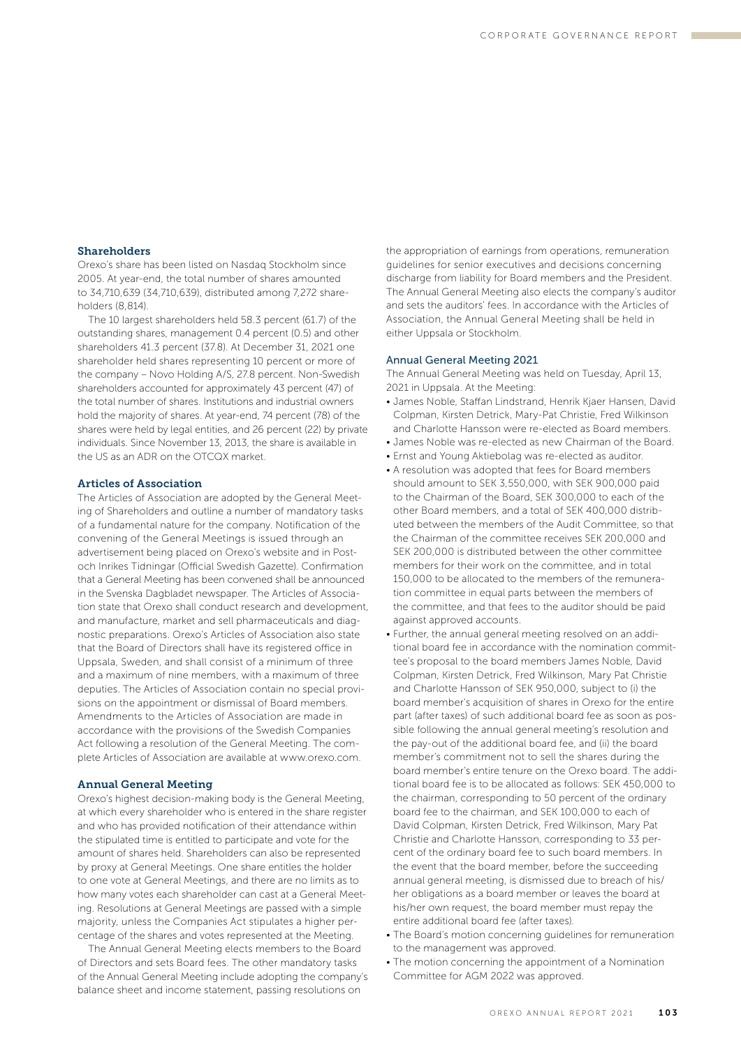## Shareholders

Orexo's share has been listed on Nasdaq Stockholm since 2005. At year-end, the total number of shares amounted to 34,710,639 (34,710,639), distributed among 7,272 shareholders (8,814).

The 10 largest shareholders held 58.3 percent (61.7) of the outstanding shares, management 0.4 percent (0.5) and other shareholders 41.3 percent (37.8). At December 31, 2021 one shareholder held shares representing 10 percent or more of the company – Novo Holding A/S, 27.8 percent. Non-Swedish shareholders accounted for approximately 43 percent (47) of the total number of shares. Institutions and industrial owners hold the majority of shares. At year-end, 74 percent (78) of the shares were held by legal entities, and 26 percent (22) by private individuals. Since November 13, 2013, the share is available in the US as an ADR on the OTCQX market.

## Articles of Association

The Articles of Association are adopted by the General Meeting of Shareholders and outline a number of mandatory tasks of a fundamental nature for the company. Notification of the convening of the General Meetings is issued through an advertisement being placed on Orexo's website and in Postoch Inrikes Tidningar (Official Swedish Gazette). Confirmation that a General Meeting has been convened shall be announced in the Svenska Dagbladet newspaper. The Articles of Association state that Orexo shall conduct research and development, and manufacture, market and sell pharmaceuticals and diagnostic preparations. Orexo's Articles of Association also state that the Board of Directors shall have its registered office in Uppsala, Sweden, and shall consist of a minimum of three and a maximum of nine members, with a maximum of three deputies. The Articles of Association contain no special provisions on the appointment or dismissal of Board members. Amendments to the Articles of Association are made in accordance with the provisions of the Swedish Companies Act following a resolution of the General Meeting. The complete Articles of Association are available at www.orexo.com.

## Annual General Meeting

Orexo's highest decision-making body is the General Meeting, at which every shareholder who is entered in the share register and who has provided notification of their attendance within the stipulated time is entitled to participate and vote for the amount of shares held. Shareholders can also be represented by proxy at General Meetings. One share entitles the holder to one vote at General Meetings, and there are no limits as to how many votes each shareholder can cast at a General Meeting. Resolutions at General Meetings are passed with a simple majority, unless the Companies Act stipulates a higher percentage of the shares and votes represented at the Meeting.

The Annual General Meeting elects members to the Board of Directors and sets Board fees. The other mandatory tasks of the Annual General Meeting include adopting the company's balance sheet and income statement, passing resolutions on

the appropriation of earnings from operations, remuneration guidelines for senior executives and decisions concerning discharge from liability for Board members and the President. The Annual General Meeting also elects the company's auditor and sets the auditors' fees. In accordance with the Articles of Association, the Annual General Meeting shall be held in either Uppsala or Stockholm.

## Annual General Meeting 2021

The Annual General Meeting was held on Tuesday, April 13, 2021 in Uppsala. At the Meeting:

- James Noble, Staffan Lindstrand, Henrik Kjaer Hansen, David Colpman, Kirsten Detrick, Mary-Pat Christie, Fred Wilkinson and Charlotte Hansson were re-elected as Board members.
- James Noble was re-elected as new Chairman of the Board.
- Ernst and Young Aktiebolag was re-elected as auditor.
- A resolution was adopted that fees for Board members should amount to SEK 3,550,000, with SEK 900,000 paid to the Chairman of the Board, SEK 300,000 to each of the other Board members, and a total of SEK 400,000 distributed between the members of the Audit Committee, so that the Chairman of the committee receives SEK 200,000 and SEK 200,000 is distributed between the other committee members for their work on the committee, and in total 150,000 to be allocated to the members of the remuneration committee in equal parts between the members of the committee, and that fees to the auditor should be paid against approved accounts.
- Further, the annual general meeting resolved on an additional board fee in accordance with the nomination committee's proposal to the board members James Noble, David Colpman, Kirsten Detrick, Fred Wilkinson, Mary Pat Christie and Charlotte Hansson of SEK 950,000, subject to (i) the board member's acquisition of shares in Orexo for the entire part (after taxes) of such additional board fee as soon as possible following the annual general meeting's resolution and the pay-out of the additional board fee, and (ii) the board member's commitment not to sell the shares during the board member's entire tenure on the Orexo board. The additional board fee is to be allocated as follows: SEK 450,000 to the chairman, corresponding to 50 percent of the ordinary board fee to the chairman, and SEK 100,000 to each of David Colpman, Kirsten Detrick, Fred Wilkinson, Mary Pat Christie and Charlotte Hansson, corresponding to 33 percent of the ordinary board fee to such board members. In the event that the board member, before the succeeding annual general meeting, is dismissed due to breach of his/ her obligations as a board member or leaves the board at his/her own request, the board member must repay the entire additional board fee (after taxes).
- The Board's motion concerning guidelines for remuneration to the management was approved.
- The motion concerning the appointment of a Nomination Committee for AGM 2022 was approved.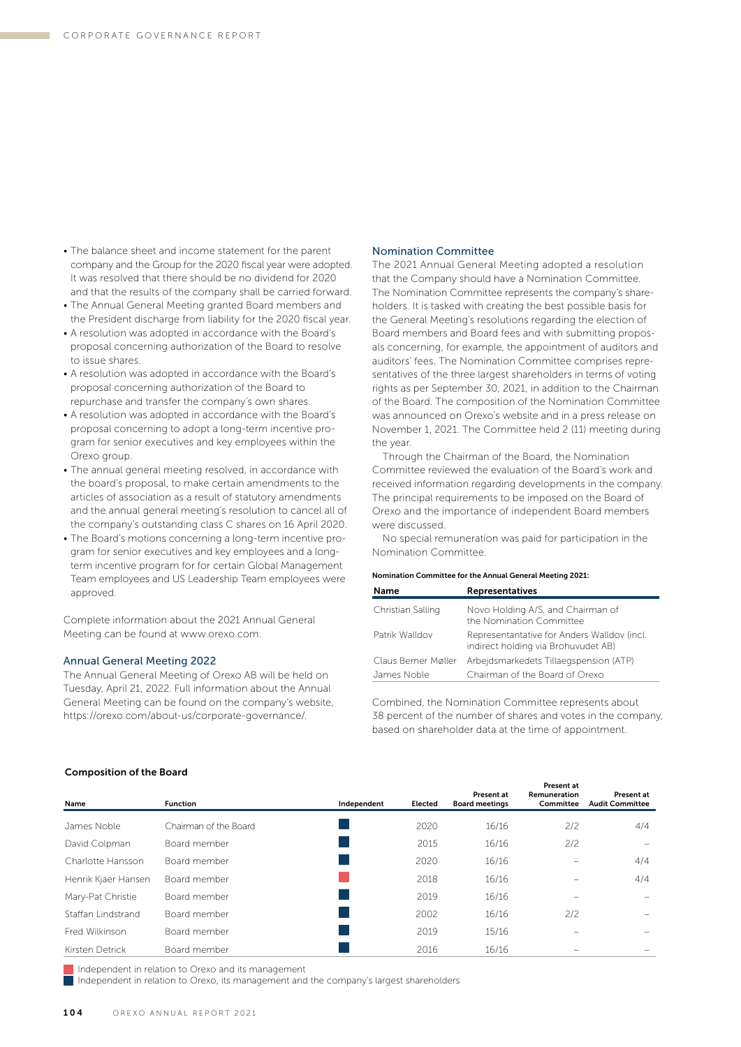- The balance sheet and income statement for the parent company and the Group for the 2020 fiscal year were adopted. It was resolved that there should be no dividend for 2020 and that the results of the company shall be carried forward.
- The Annual General Meeting granted Board members and the President discharge from liability for the 2020 fiscal year.
- A resolution was adopted in accordance with the Board's proposal concerning authorization of the Board to resolve to issue shares.
- A resolution was adopted in accordance with the Board's proposal concerning authorization of the Board to repurchase and transfer the company's own shares.
- A resolution was adopted in accordance with the Board's proposal concerning to adopt a long-term incentive program for senior executives and key employees within the Orexo group.
- The annual general meeting resolved, in accordance with the board's proposal, to make certain amendments to the articles of association as a result of statutory amendments and the annual general meeting's resolution to cancel all of the company's outstanding class C shares on 16 April 2020.
- The Board's motions concerning a long-term incentive program for senior executives and key employees and a longterm incentive program for for certain Global Management Team employees and US Leadership Team employees were approved.

Complete information about the 2021 Annual General Meeting can be found at www.orexo.com.

## Annual General Meeting 2022

The Annual General Meeting of Orexo AB will be held on Tuesday, April 21, 2022. Full information about the Annual General Meeting can be found on the company's website, https://orexo.com/about-us/corporate-governance/.

#### Nomination Committee

The 2021 Annual General Meeting adopted a resolution that the Company should have a Nomination Committee. The Nomination Committee represents the company's shareholders. It is tasked with creating the best possible basis for the General Meeting's resolutions regarding the election of Board members and Board fees and with submitting proposals concerning, for example, the appointment of auditors and auditors' fees. The Nomination Committee comprises representatives of the three largest shareholders in terms of voting rights as per September 30, 2021, in addition to the Chairman of the Board. The composition of the Nomination Committee was announced on Orexo's website and in a press release on November 1, 2021. The Committee held 2 (11) meeting during the year.

Through the Chairman of the Board, the Nomination Committee reviewed the evaluation of the Board's work and received information regarding developments in the company. The principal requirements to be imposed on the Board of Orexo and the importance of independent Board members were discussed.

No special remuneration was paid for participation in the Nomination Committee.

#### Nomination Committee for the Annual General Meeting 2021: Name Representatives

| name                | Representatives                                                                    |
|---------------------|------------------------------------------------------------------------------------|
| Christian Salling   | Novo Holding A/S, and Chairman of<br>the Nomination Committee                      |
| Patrik Walldov      | Representantative for Anders Walldov (incl.<br>indirect holding via Brohuvudet AB) |
| Claus Berner Møller | Arbeidsmarkedets Tillaegspension (ATP)                                             |
| James Noble         | Chairman of the Board of Orexo                                                     |

Combined, the Nomination Committee represents about 38 percent of the number of shares and votes in the company, based on shareholder data at the time of appointment.

#### Composition of the Board

| Name                | <b>Function</b>       | Independent | Elected | Present at<br><b>Board meetings</b> | Present at<br>Remuneration<br>Committee | Present at<br><b>Audit Committee</b> |
|---------------------|-----------------------|-------------|---------|-------------------------------------|-----------------------------------------|--------------------------------------|
| James Noble         | Chairman of the Board |             | 2020    | 16/16                               | 2/2                                     | 4/4                                  |
| David Colpman       | Board member          |             | 2015    | 16/16                               | 2/2                                     |                                      |
| Charlotte Hansson   | Board member          |             | 2020    | 16/16                               |                                         | 4/4                                  |
| Henrik Kjaer Hansen | Board member          |             | 2018    | 16/16                               |                                         | 4/4                                  |
| Mary-Pat Christie   | Board member          |             | 2019    | 16/16                               |                                         |                                      |
| Staffan Lindstrand  | Board member          |             | 2002    | 16/16                               | 2/2                                     |                                      |
| Fred Wilkinson      | Board member          |             | 2019    | 15/16                               |                                         |                                      |
| Kirsten Detrick     | Board member          |             | 2016    | 16/16                               |                                         |                                      |

Independent in relation to Orexo and its management

 $\blacksquare$  Independent in relation to Orexo, its management and the company's largest shareholders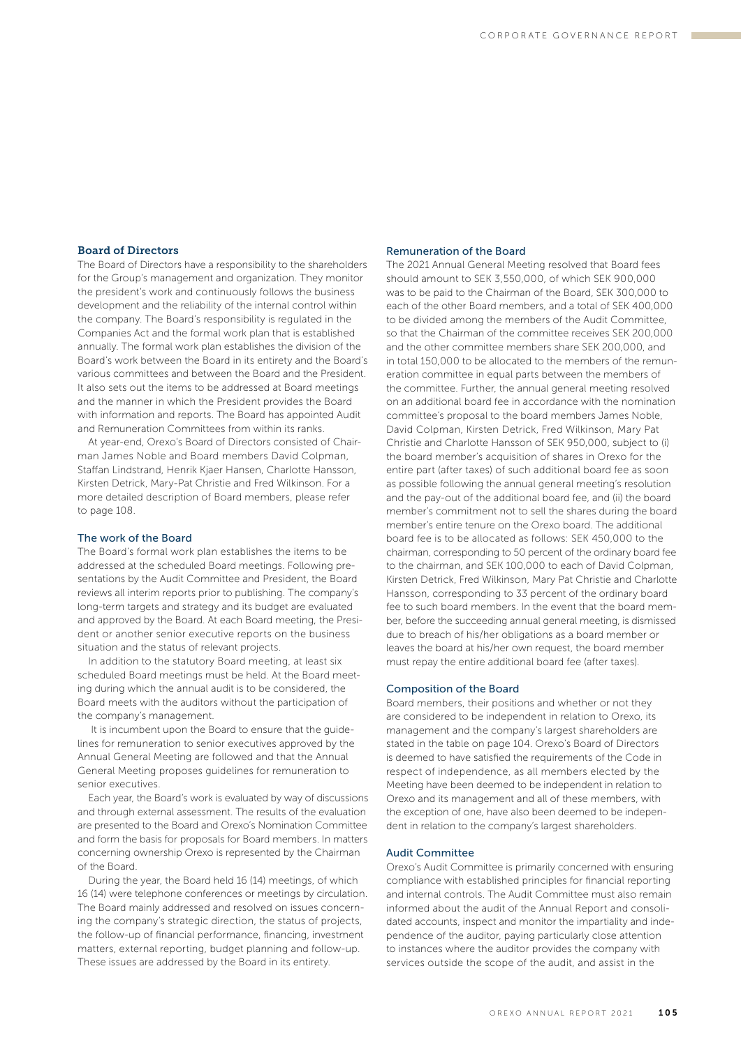## Board of Directors

The Board of Directors have a responsibility to the shareholders for the Group's management and organization. They monitor the president's work and continuously follows the business development and the reliability of the internal control within the company. The Board's responsibility is regulated in the Companies Act and the formal work plan that is established annually. The formal work plan establishes the division of the Board's work between the Board in its entirety and the Board's various committees and between the Board and the President. It also sets out the items to be addressed at Board meetings and the manner in which the President provides the Board with information and reports. The Board has appointed Audit and Remuneration Committees from within its ranks.

At year-end, Orexo's Board of Directors consisted of Chairman James Noble and Board members David Colpman, Staffan Lindstrand, Henrik Kjaer Hansen, Charlotte Hansson, Kirsten Detrick, Mary-Pat Christie and Fred Wilkinson. For a more detailed description of Board members, please refer to page 108.

#### The work of the Board

The Board's formal work plan establishes the items to be addressed at the scheduled Board meetings. Following presentations by the Audit Committee and President, the Board reviews all interim reports prior to publishing. The company's long-term targets and strategy and its budget are evaluated and approved by the Board. At each Board meeting, the President or another senior executive reports on the business situation and the status of relevant projects.

In addition to the statutory Board meeting, at least six scheduled Board meetings must be held. At the Board meeting during which the annual audit is to be considered, the Board meets with the auditors without the participation of the company's management.

 It is incumbent upon the Board to ensure that the guidelines for remuneration to senior executives approved by the Annual General Meeting are followed and that the Annual General Meeting proposes guidelines for remuneration to senior executives.

Each year, the Board's work is evaluated by way of discussions and through external assessment. The results of the evaluation are presented to the Board and Orexo's Nomination Committee and form the basis for proposals for Board members. In matters concerning ownership Orexo is represented by the Chairman of the Board.

During the year, the Board held 16 (14) meetings, of which 16 (14) were telephone conferences or meetings by circulation. The Board mainly addressed and resolved on issues concerning the company's strategic direction, the status of projects, the follow-up of financial performance, financing, investment matters, external reporting, budget planning and follow-up. These issues are addressed by the Board in its entirety.

#### Remuneration of the Board

The 2021 Annual General Meeting resolved that Board fees should amount to SEK 3,550,000, of which SEK 900,000 was to be paid to the Chairman of the Board, SEK 300,000 to each of the other Board members, and a total of SEK 400,000 to be divided among the members of the Audit Committee, so that the Chairman of the committee receives SEK 200,000 and the other committee members share SEK 200,000, and in total 150,000 to be allocated to the members of the remuneration committee in equal parts between the members of the committee. Further, the annual general meeting resolved on an additional board fee in accordance with the nomination committee's proposal to the board members James Noble, David Colpman, Kirsten Detrick, Fred Wilkinson, Mary Pat Christie and Charlotte Hansson of SEK 950,000, subject to (i) the board member's acquisition of shares in Orexo for the entire part (after taxes) of such additional board fee as soon as possible following the annual general meeting's resolution and the pay-out of the additional board fee, and (ii) the board member's commitment not to sell the shares during the board member's entire tenure on the Orexo board. The additional board fee is to be allocated as follows: SEK 450,000 to the chairman, corresponding to 50 percent of the ordinary board fee to the chairman, and SEK 100,000 to each of David Colpman, Kirsten Detrick, Fred Wilkinson, Mary Pat Christie and Charlotte Hansson, corresponding to 33 percent of the ordinary board fee to such board members. In the event that the board member, before the succeeding annual general meeting, is dismissed due to breach of his/her obligations as a board member or leaves the board at his/her own request, the board member must repay the entire additional board fee (after taxes).

#### Composition of the Board

Board members, their positions and whether or not they are considered to be independent in relation to Orexo, its management and the company's largest shareholders are stated in the table on page 104. Orexo's Board of Directors is deemed to have satisfied the requirements of the Code in respect of independence, as all members elected by the Meeting have been deemed to be independent in relation to Orexo and its management and all of these members, with the exception of one, have also been deemed to be independent in relation to the company's largest shareholders.

#### Audit Committee

Orexo's Audit Committee is primarily concerned with ensuring compliance with established principles for financial reporting and internal controls. The Audit Committee must also remain informed about the audit of the Annual Report and consolidated accounts, inspect and monitor the impartiality and independence of the auditor, paying particularly close attention to instances where the auditor provides the company with services outside the scope of the audit, and assist in the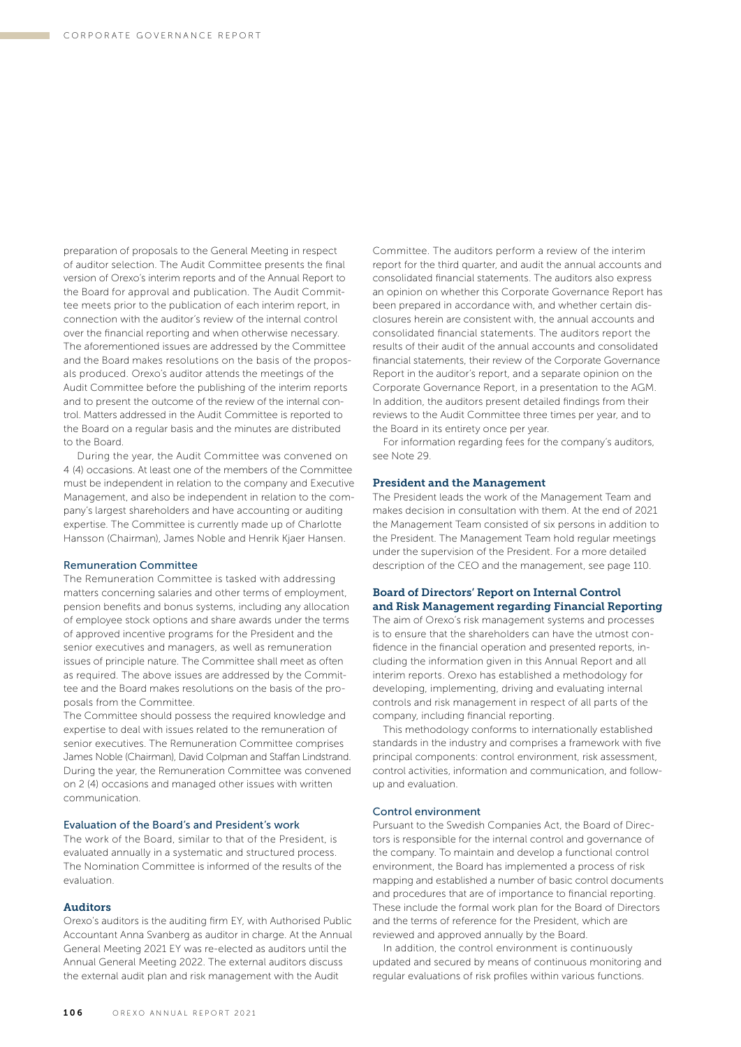preparation of proposals to the General Meeting in respect of auditor selection. The Audit Committee presents the final version of Orexo's interim reports and of the Annual Report to the Board for approval and publication. The Audit Committee meets prior to the publication of each interim report, in connection with the auditor's review of the internal control over the financial reporting and when otherwise necessary. The aforementioned issues are addressed by the Committee and the Board makes resolutions on the basis of the proposals produced. Orexo's auditor attends the meetings of the Audit Committee before the publishing of the interim reports and to present the outcome of the review of the internal control. Matters addressed in the Audit Committee is reported to the Board on a regular basis and the minutes are distributed to the Board.

 During the year, the Audit Committee was convened on 4 (4) occasions. At least one of the members of the Committee must be independent in relation to the company and Executive Management, and also be independent in relation to the company's largest shareholders and have accounting or auditing expertise. The Committee is currently made up of Charlotte Hansson (Chairman), James Noble and Henrik Kjaer Hansen.

#### Remuneration Committee

The Remuneration Committee is tasked with addressing matters concerning salaries and other terms of employment, pension benefits and bonus systems, including any allocation of employee stock options and share awards under the terms of approved incentive programs for the President and the senior executives and managers, as well as remuneration issues of principle nature. The Committee shall meet as often as required. The above issues are addressed by the Committee and the Board makes resolutions on the basis of the proposals from the Committee.

The Committee should possess the required knowledge and expertise to deal with issues related to the remuneration of senior executives. The Remuneration Committee comprises James Noble (Chairman), David Colpman and Staffan Lindstrand. During the year, the Remuneration Committee was convened on 2 (4) occasions and managed other issues with written communication.

## Evaluation of the Board's and President's work

The work of the Board, similar to that of the President, is evaluated annually in a systematic and structured process. The Nomination Committee is informed of the results of the evaluation.

### Auditors

Orexo's auditors is the auditing firm EY, with Authorised Public Accountant Anna Svanberg as auditor in charge. At the Annual General Meeting 2021 EY was re-elected as auditors until the Annual General Meeting 2022. The external auditors discuss the external audit plan and risk management with the Audit

Committee. The auditors perform a review of the interim report for the third quarter, and audit the annual accounts and consolidated financial statements. The auditors also express an opinion on whether this Corporate Governance Report has been prepared in accordance with, and whether certain disclosures herein are consistent with, the annual accounts and consolidated financial statements. The auditors report the results of their audit of the annual accounts and consolidated financial statements, their review of the Corporate Governance Report in the auditor's report, and a separate opinion on the Corporate Governance Report, in a presentation to the AGM. In addition, the auditors present detailed findings from their reviews to the Audit Committee three times per year, and to the Board in its entirety once per year.

For information regarding fees for the company's auditors, see Note 29.

## President and the Management

The President leads the work of the Management Team and makes decision in consultation with them. At the end of 2021 the Management Team consisted of six persons in addition to the President. The Management Team hold regular meetings under the supervision of the President. For a more detailed description of the CEO and the management, see page 110.

## Board of Directors' Report on Internal Control and Risk Management regarding Financial Reporting

The aim of Orexo's risk management systems and processes is to ensure that the shareholders can have the utmost confidence in the financial operation and presented reports, including the information given in this Annual Report and all interim reports. Orexo has established a methodology for developing, implementing, driving and evaluating internal controls and risk management in respect of all parts of the company, including financial reporting.

This methodology conforms to internationally established standards in the industry and comprises a framework with five principal components: control environment, risk assessment, control activities, information and communication, and followup and evaluation.

### Control environment

Pursuant to the Swedish Companies Act, the Board of Directors is responsible for the internal control and governance of the company. To maintain and develop a functional control environment, the Board has implemented a process of risk mapping and established a number of basic control documents and procedures that are of importance to financial reporting. These include the formal work plan for the Board of Directors and the terms of reference for the President, which are reviewed and approved annually by the Board.

In addition, the control environment is continuously updated and secured by means of continuous monitoring and regular evaluations of risk profiles within various functions.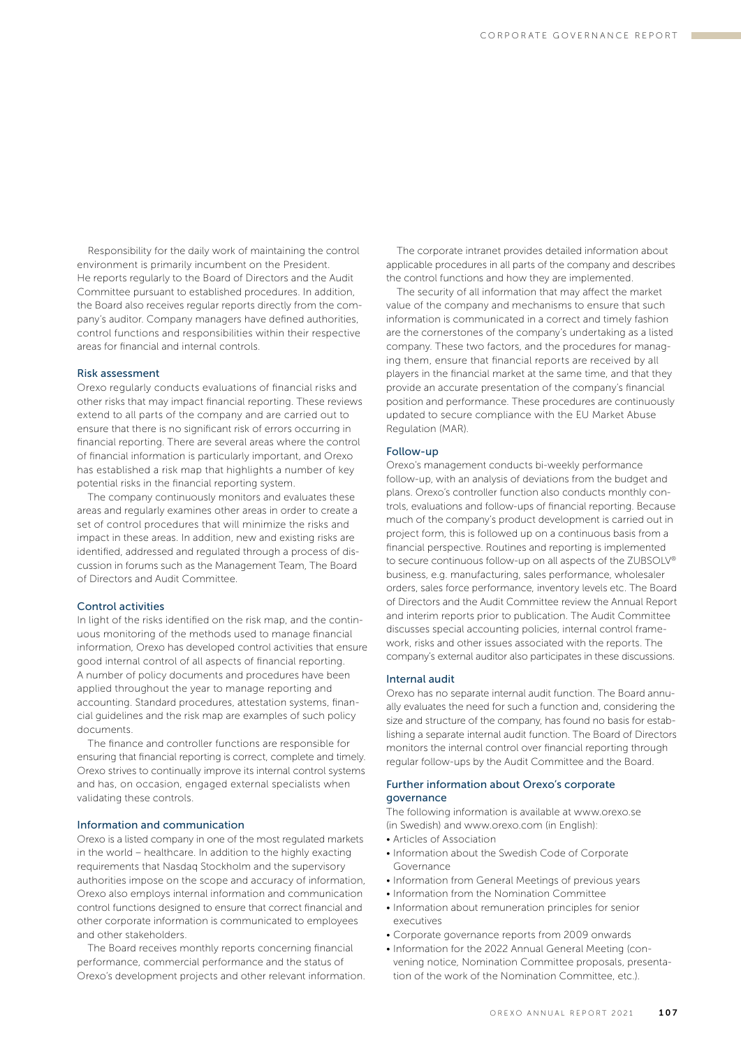Responsibility for the daily work of maintaining the control environment is primarily incumbent on the President. He reports regularly to the Board of Directors and the Audit Committee pursuant to established procedures. In addition, the Board also receives regular reports directly from the company's auditor. Company managers have defined authorities, control functions and responsibilities within their respective areas for financial and internal controls.

## Risk assessment

Orexo regularly conducts evaluations of financial risks and other risks that may impact financial reporting. These reviews extend to all parts of the company and are carried out to ensure that there is no significant risk of errors occurring in financial reporting. There are several areas where the control of financial information is particularly important, and Orexo has established a risk map that highlights a number of key potential risks in the financial reporting system.

The company continuously monitors and evaluates these areas and regularly examines other areas in order to create a set of control procedures that will minimize the risks and impact in these areas. In addition, new and existing risks are identified, addressed and regulated through a process of discussion in forums such as the Management Team, The Board of Directors and Audit Committee.

## Control activities

In light of the risks identified on the risk map, and the continuous monitoring of the methods used to manage financial information, Orexo has developed control activities that ensure good internal control of all aspects of financial reporting. A number of policy documents and procedures have been applied throughout the year to manage reporting and accounting. Standard procedures, attestation systems, financial guidelines and the risk map are examples of such policy documents.

The finance and controller functions are responsible for ensuring that financial reporting is correct, complete and timely. Orexo strives to continually improve its internal control systems and has, on occasion, engaged external specialists when validating these controls.

## Information and communication

Orexo is a listed company in one of the most regulated markets in the world – healthcare. In addition to the highly exacting requirements that Nasdaq Stockholm and the supervisory authorities impose on the scope and accuracy of information, Orexo also employs internal information and communication control functions designed to ensure that correct financial and other corporate information is communicated to employees and other stakeholders.

The Board receives monthly reports concerning financial performance, commercial performance and the status of Orexo's development projects and other relevant information.

The corporate intranet provides detailed information about applicable procedures in all parts of the company and describes the control functions and how they are implemented.

The security of all information that may affect the market value of the company and mechanisms to ensure that such information is communicated in a correct and timely fashion are the cornerstones of the company's undertaking as a listed company. These two factors, and the procedures for managing them, ensure that financial reports are received by all players in the financial market at the same time, and that they provide an accurate presentation of the company's financial position and performance. These procedures are continuously updated to secure compliance with the EU Market Abuse Regulation (MAR).

#### Follow-up

Orexo's management conducts bi-weekly performance follow-up, with an analysis of deviations from the budget and plans. Orexo's controller function also conducts monthly controls, evaluations and follow-ups of financial reporting. Because much of the company's product development is carried out in project form, this is followed up on a continuous basis from a financial perspective. Routines and reporting is implemented to secure continuous follow-up on all aspects of the ZUBSOLV® business, e.g. manufacturing, sales performance, wholesaler orders, sales force performance, inventory levels etc. The Board of Directors and the Audit Committee review the Annual Report and interim reports prior to publication. The Audit Committee discusses special accounting policies, internal control framework, risks and other issues associated with the reports. The company's external auditor also participates in these discussions.

#### Internal audit

Orexo has no separate internal audit function. The Board annually evaluates the need for such a function and, considering the size and structure of the company, has found no basis for establishing a separate internal audit function. The Board of Directors monitors the internal control over financial reporting through regular follow-ups by the Audit Committee and the Board.

## Further information about Orexo's corporate governance

The following information is available at www.orexo.se (in Swedish) and www.orexo.com (in English):

- Articles of Association
- Information about the Swedish Code of Corporate Governance
- Information from General Meetings of previous years
- Information from the Nomination Committee
- Information about remuneration principles for senior executives
- Corporate governance reports from 2009 onwards
- Information for the 2022 Annual General Meeting (convening notice, Nomination Committee proposals, presentation of the work of the Nomination Committee, etc.).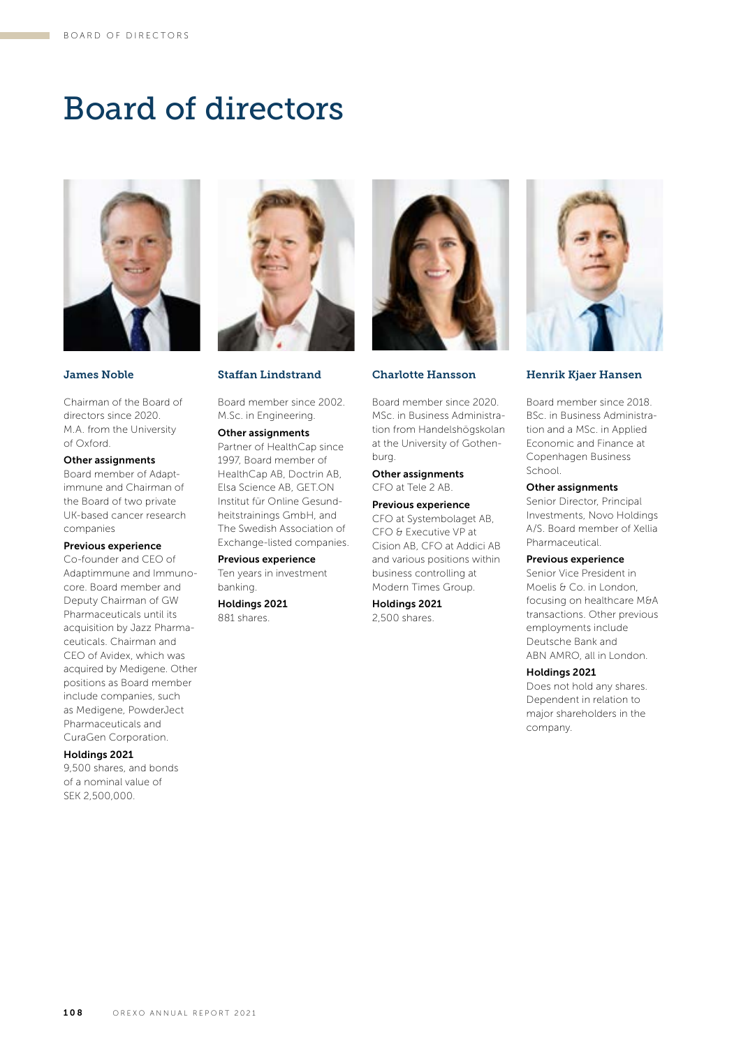# Board of directors



## James Noble

Chairman of the Board of directors since 2020. M.A. from the University of Oxford.

## Other assignments

Board member of Adaptimmune and Chairman of the Board of two private UK-based cancer research companies

## Previous experience

Co-founder and CEO of Adaptimmune and Immunocore. Board member and Deputy Chairman of GW Pharmaceuticals until its acquisition by Jazz Pharmaceuticals. Chairman and CEO of Avidex, which was acquired by Medigene. Other positions as Board member include companies, such as Medigene, PowderJect Pharmaceuticals and CuraGen Corporation.

## Holdings 2021

9,500 shares, and bonds of a nominal value of SEK 2,500,000.



Staffan Lindstrand

Board member since 2002. M.Sc. in Engineering.

## Other assignments

Partner of HealthCap since 1997, Board member of HealthCap AB, Doctrin AB, Elsa Science AB, GET.ON Institut für Online Gesundheitstrainings GmbH, and The Swedish Association of Exchange-listed companies.

## Previous experience

Ten years in investment banking.

Holdings 2021 881 shares.



## Charlotte Hansson

Board member since 2020. MSc. in Business Administration from Handelshögskolan at the University of Gothenburg.

## Other assignments

CFO at Tele 2 AB.

Previous experience CFO at Systembolaget AB, CFO & Executive VP at Cision AB, CFO at Addici AB and various positions within business controlling at Modern Times Group.

Holdings 2021 2,500 shares.



## Henrik Kjaer Hansen

Board member since 2018. BSc. in Business Administration and a MSc. in Applied Economic and Finance at Copenhagen Business School.

## Other assignments

Senior Director, Principal Investments, Novo Holdings A/S. Board member of Xellia Pharmaceutical.

## Previous experience

Senior Vice President in Moelis & Co. in London. focusing on healthcare M&A transactions. Other previous employments include Deutsche Bank and ABN AMRO, all in London.

## Holdings 2021

Does not hold any shares. Dependent in relation to major shareholders in the company.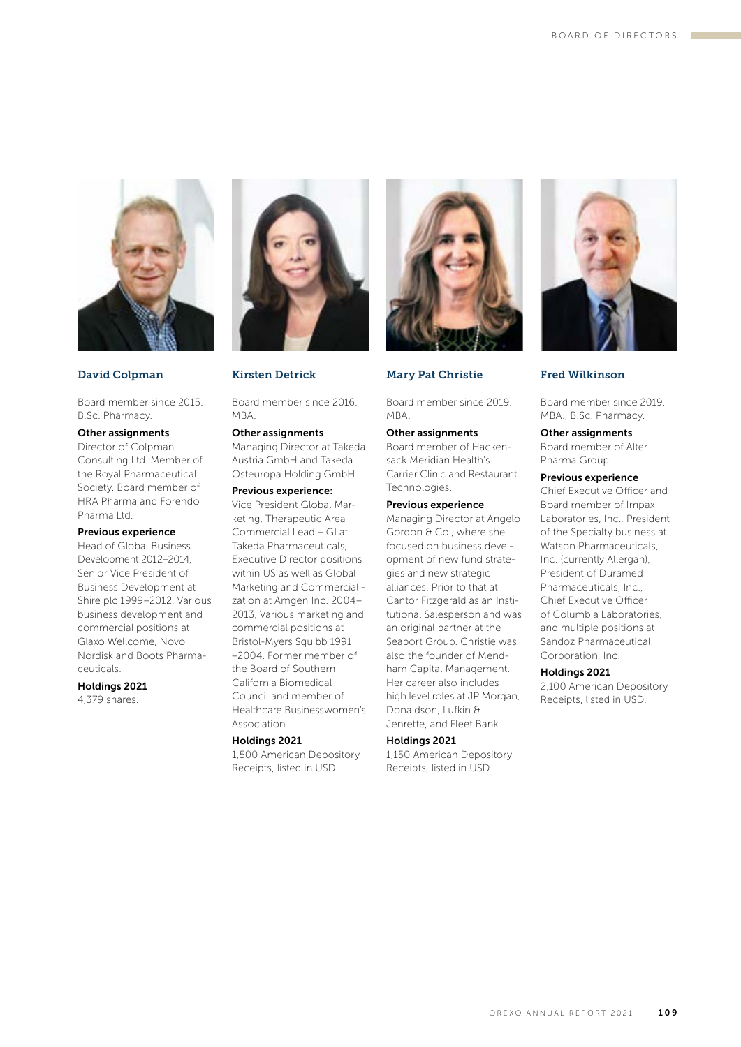

## David Colpman

Board member since 2015. B.Sc. Pharmacy.

## Other assignments

Director of Colpman Consulting Ltd. Member of the Royal Pharmaceutical Society. Board member of HRA Pharma and Forendo Pharma Ltd.

## Previous experience

Head of Global Business Development 2012–2014, Senior Vice President of Business Development at Shire plc 1999–2012. Various business development and commercial positions at Glaxo Wellcome, Novo Nordisk and Boots Pharmaceuticals.

#### Holdings 2021

4,379 shares.



## Kirsten Detrick

Board member since 2016. MBA.

## Other assignments

Managing Director at Takeda Austria GmbH and Takeda Osteuropa Holding GmbH.

## Previous experience:

Vice President Global Marketing, Therapeutic Area Commercial Lead – GI at Takeda Pharmaceuticals, Executive Director positions within US as well as Global Marketing and Commercialization at Amgen Inc. 2004– 2013, Various marketing and commercial positions at Bristol-Myers Squibb 1991 –2004. Former member of the Board of Southern California Biomedical Council and member of Healthcare Businesswomen's Association.

## Holdings 2021

1,500 American Depository Receipts, listed in USD.



## Mary Pat Christie

Board member since 2019. MBA.

## Other assignments

Board member of Hackensack Meridian Health's Carrier Clinic and Restaurant Technologies.

## Previous experience

Managing Director at Angelo Gordon & Co., where she focused on business development of new fund strategies and new strategic alliances. Prior to that at Cantor Fitzgerald as an Institutional Salesperson and was an original partner at the Seaport Group. Christie was also the founder of Mendham Capital Management. Her career also includes high level roles at JP Morgan, Donaldson, Lufkin & Jenrette, and Fleet Bank.

#### Holdings 2021

1,150 American Depository Receipts, listed in USD.



## Fred Wilkinson

Board member since 2019. MBA., B.Sc. Pharmacy.

## Other assignments Board member of Alter Pharma Group.

Previous experience

Chief Executive Officer and Board member of Impax Laboratories, Inc., President of the Specialty business at Watson Pharmaceuticals, Inc. (currently Allergan), President of Duramed Pharmaceuticals, Inc., Chief Executive Officer of Columbia Laboratories, and multiple positions at Sandoz Pharmaceutical Corporation, Inc.

## Holdings 2021

2,100 American Depository Receipts, listed in USD.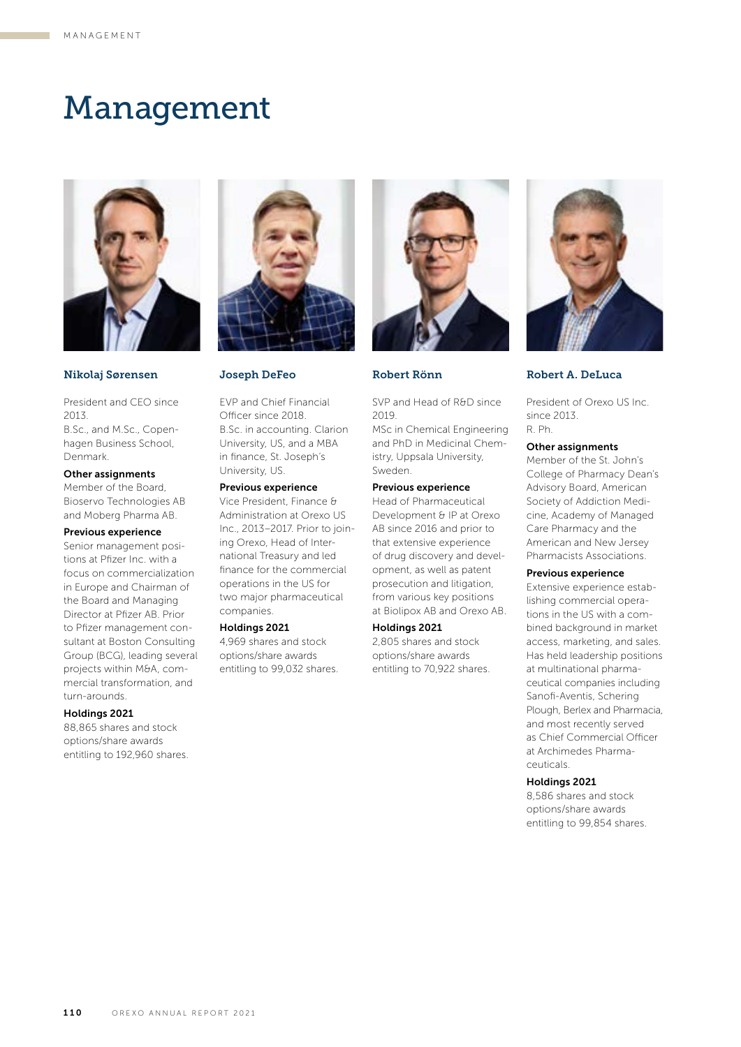## Management



## Nikolaj Sørensen

President and CEO since 2013. B.Sc., and M.Sc., Copenhagen Business School, Denmark.

#### Other assignments

Member of the Board, Bioservo Technologies AB and Moberg Pharma AB.

## Previous experience

Senior management positions at Pfizer Inc. with a focus on commercialization in Europe and Chairman of the Board and Managing Director at Pfizer AB. Prior to Pfizer management consultant at Boston Consulting Group (BCG), leading several projects within M&A, commercial transformation, and turn-arounds.

## Holdings 2021

88,865 shares and stock options/share awards entitling to 192,960 shares.



Joseph DeFeo

EVP and Chief Financial Officer since 2018. B.Sc. in accounting. Clarion University, US, and a MBA in finance, St. Joseph's University, US.

## Previous experience

Vice President, Finance & Administration at Orexo US Inc., 2013–2017. Prior to joining Orexo, Head of International Treasury and led finance for the commercial operations in the US for two major pharmaceutical companies.

## Holdings 2021

4,969 shares and stock options/share awards entitling to 99,032 shares.



Robert Rönn

SVP and Head of R&D since 2019.

MSc in Chemical Engineering and PhD in Medicinal Chemistry, Uppsala University, Sweden.

#### Previous experience

Head of Pharmaceutical Development & IP at Orexo AB since 2016 and prior to that extensive experience of drug discovery and development, as well as patent prosecution and litigation, from various key positions at Biolipox AB and Orexo AB.

#### Holdings 2021

2,805 shares and stock options/share awards entitling to 70,922 shares.



Robert A. DeLuca

President of Orexo US Inc. since 2013. R. Ph.

#### Other assignments

Member of the St. John's College of Pharmacy Dean's Advisory Board, American Society of Addiction Medicine, Academy of Managed Care Pharmacy and the American and New Jersey Pharmacists Associations.

#### Previous experience

Extensive experience establishing commercial operations in the US with a combined background in market access, marketing, and sales. Has held leadership positions at multinational pharmaceutical companies including Sanofi-Aventis, Schering Plough, Berlex and Pharmacia, and most recently served as Chief Commercial Officer at Archimedes Pharmaceuticals.

## Holdings 2021

8,586 shares and stock options/share awards entitling to 99,854 shares.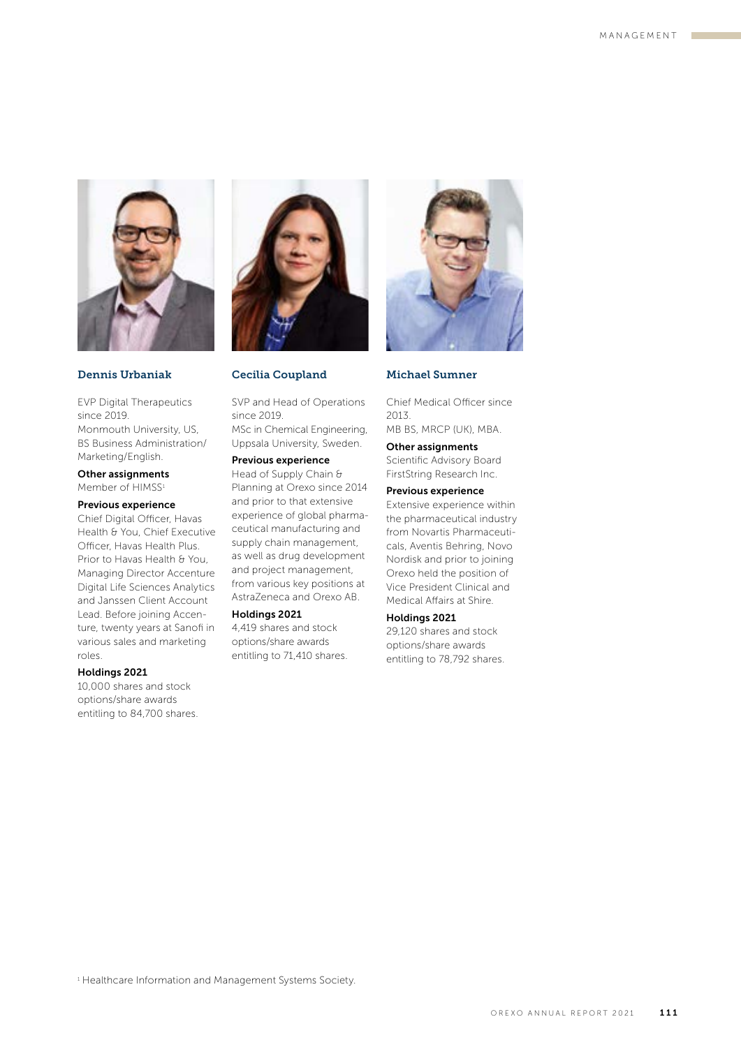

## Dennis Urbaniak

EVP Digital Therapeutics since 2019. Monmouth University, US, BS Business Administration/ Marketing/English.

## Other assignments

Member of HIMSS<sup>1</sup>

## Previous experience

Chief Digital Officer, Havas Health & You, Chief Executive Officer, Havas Health Plus. Prior to Havas Health & You, Managing Director Accenture Digital Life Sciences Analytics and Janssen Client Account Lead. Before joining Accenture, twenty years at Sanofi in various sales and marketing roles.

#### Holdings 2021

10,000 shares and stock options/share awards entitling to 84,700 shares.



## Cecilia Coupland

SVP and Head of Operations since 2019. MSc in Chemical Engineering, Uppsala University, Sweden.

#### Previous experience

Head of Supply Chain & Planning at Orexo since 2014 and prior to that extensive experience of global pharmaceutical manufacturing and supply chain management, as well as drug development and project management, from various key positions at AstraZeneca and Orexo AB.

## Holdings 2021

4,419 shares and stock options/share awards entitling to 71,410 shares.



## Michael Sumner

Chief Medical Officer since 2013. MB BS, MRCP (UK), MBA.

Other assignments

Scientific Advisory Board FirstString Research Inc.

## Previous experience

Extensive experience within the pharmaceutical industry from Novartis Pharmaceuticals, Aventis Behring, Novo Nordisk and prior to joining Orexo held the position of Vice President Clinical and Medical Affairs at Shire.

## Holdings 2021

29,120 shares and stock options/share awards entitling to 78,792 shares.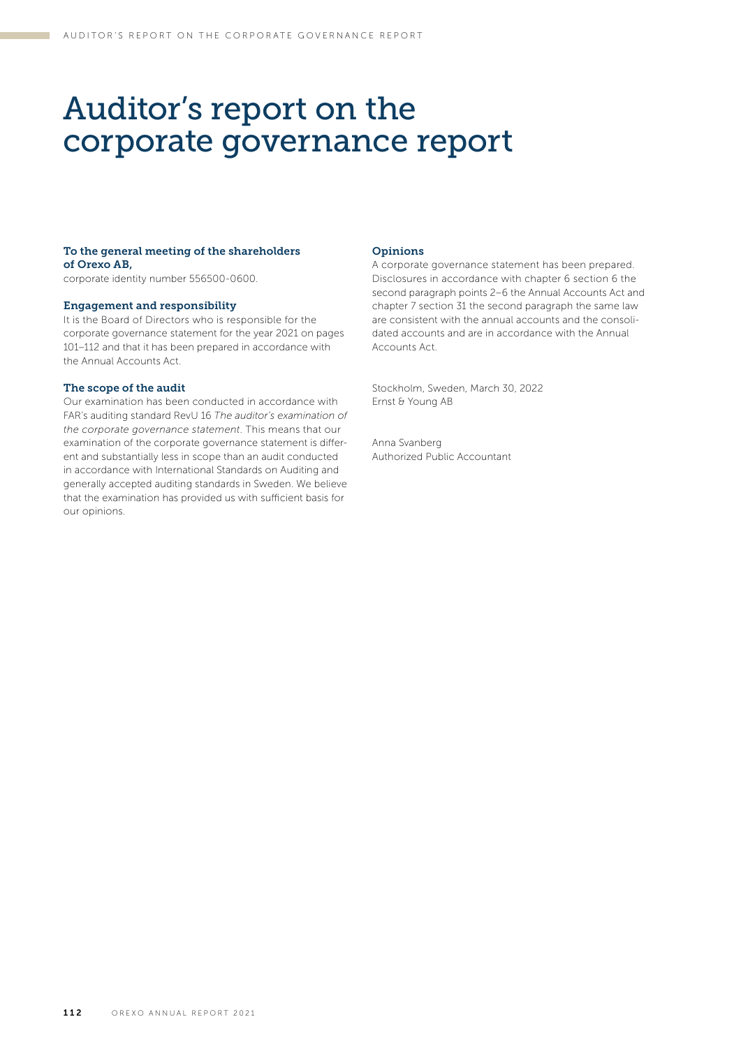## Auditor's report on the corporate governance report

## To the general meeting of the shareholders of Orexo AB,

corporate identity number 556500-0600.

## Engagement and responsibility

It is the Board of Directors who is responsible for the corporate governance statement for the year 2021 on pages 101–112 and that it has been prepared in accordance with the Annual Accounts Act.

## The scope of the audit

Our examination has been conducted in accordance with FAR's auditing standard RevU 16 *The auditor's examination of the corporate governance statement*. This means that our examination of the corporate governance statement is different and substantially less in scope than an audit conducted in accordance with International Standards on Auditing and generally accepted auditing standards in Sweden. We believe that the examination has provided us with sufficient basis for our opinions.

### Opinions

A corporate governance statement has been prepared. Disclosures in accordance with chapter 6 section 6 the second paragraph points 2–6 the Annual Accounts Act and chapter 7 section 31 the second paragraph the same law are consistent with the annual accounts and the consolidated accounts and are in accordance with the Annual Accounts Act.

Stockholm, Sweden, March 30, 2022 Ernst & Young AB

Anna Svanberg Authorized Public Accountant